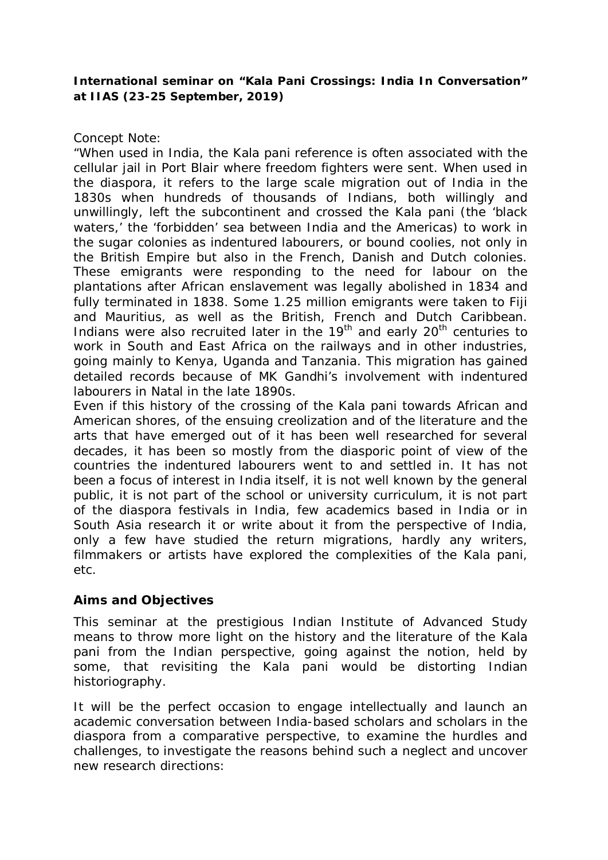## **International seminar on "***Kala Pani Crossings: India In Conversation***" at IIAS (23-25 September, 2019)**

## *Concept Note:*

*"*When used in India, the *Kala pani* reference is often associated with the cellular jail in Port Blair where freedom fighters were sent. When used in the diaspora, it refers to the large scale migration out of India in the 1830s when hundreds of thousands of Indians, both willingly and unwillingly, left the subcontinent and crossed the *Kala pani* (the 'black waters,' the 'forbidden' sea between India and the Americas) to work in the sugar colonies as indentured labourers, or *bound coolies*, not only in the British Empire but also in the French, Danish and Dutch colonies. These emigrants were responding to the need for labour on the plantations after African enslavement was legally abolished in 1834 and fully terminated in 1838. Some 1.25 million emigrants were taken to Fiji and Mauritius, as well as the British, French and Dutch Caribbean. Indians were also recruited later in the  $19<sup>th</sup>$  and early  $20<sup>th</sup>$  centuries to work in South and East Africa on the railways and in other industries, going mainly to Kenya, Uganda and Tanzania. This migration has gained detailed records because of MK Gandhi's involvement with indentured labourers in Natal in the late 1890s.

Even if this history of the crossing of the *Kala pani* towards African and American shores, of the ensuing creolization and of the literature and the arts that have emerged out of it has been well researched for several decades, it has been so mostly from the diasporic point of view of the countries the indentured labourers went to and settled in. It has not been a focus of interest in India itself, it is not well known by the general public, it is not part of the school or university curriculum, it is not part of the diaspora festivals in India, few academics based in India or in South Asia research it or write about it from the perspective of India, only a few have studied the return migrations, hardly any writers, filmmakers or artists have explored the complexities of the *Kala pani*, etc.

## **Aims and Objectives**

This seminar at the prestigious Indian Institute of Advanced Study means to throw more light on the history and the literature of the *Kala pani* from the Indian perspective, going against the notion, held by some, that revisiting the *Kala pani* would be distorting Indian historiography.

It will be the perfect occasion to engage intellectually and launch an academic conversation between India-based scholars and scholars in the diaspora from a comparative perspective, to examine the hurdles and challenges, to investigate the reasons behind such a neglect and uncover new research directions: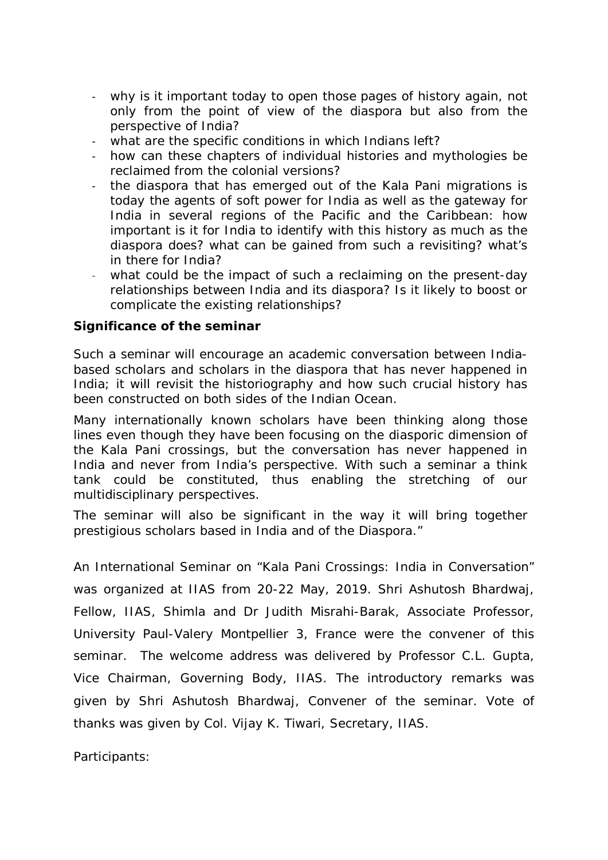- why is it important today to open those pages of history again, not only from the point of view of the diaspora but also from the perspective of India?
- what are the specific conditions in which Indians left?
- how can these chapters of individual histories and mythologies be reclaimed from the colonial versions?
- the diaspora that has emerged out of the Kala Pani migrations is today the agents of soft power for India as well as the gateway for India in several regions of the Pacific and the Caribbean: how important is it for India to identify with this history as much as the diaspora does? what can be gained from such a revisiting? what's in there for India?
- what could be the impact of such a reclaiming on the present-day relationships between India and its diaspora? Is it likely to boost or complicate the existing relationships?

## **Significance of the seminar**

Such a seminar will encourage an academic conversation between Indiabased scholars and scholars in the diaspora that has never happened in India; it will revisit the historiography and how such crucial history has been constructed on both sides of the Indian Ocean.

Many internationally known scholars have been thinking along those lines even though they have been focusing on the diasporic dimension of the Kala Pani crossings, but the conversation has never happened in India and never from India's perspective. With such a seminar a think tank could be constituted, thus enabling the stretching of our multidisciplinary perspectives.

The seminar will also be significant in the way it will bring together prestigious scholars based in India and of the Diaspora."

An International Seminar on "*Kala Pani Crossings: India in Conversation*" was organized at IIAS from 20-22 May, 2019. *Shri Ashutosh Bhardwaj, Fellow, IIAS, Shimla and* Dr Judith Misrahi-Barak, Associate Professor, University Paul-Valery Montpellier 3, France were the convener of this seminar. The welcome address was delivered by Professor C.L. Gupta, Vice Chairman, Governing Body, IIAS. The introductory remarks was given by Shri Ashutosh Bhardwaj, Convener of the seminar. Vote of thanks was given by Col. Vijay K. Tiwari, Secretary, IIAS.

Participants: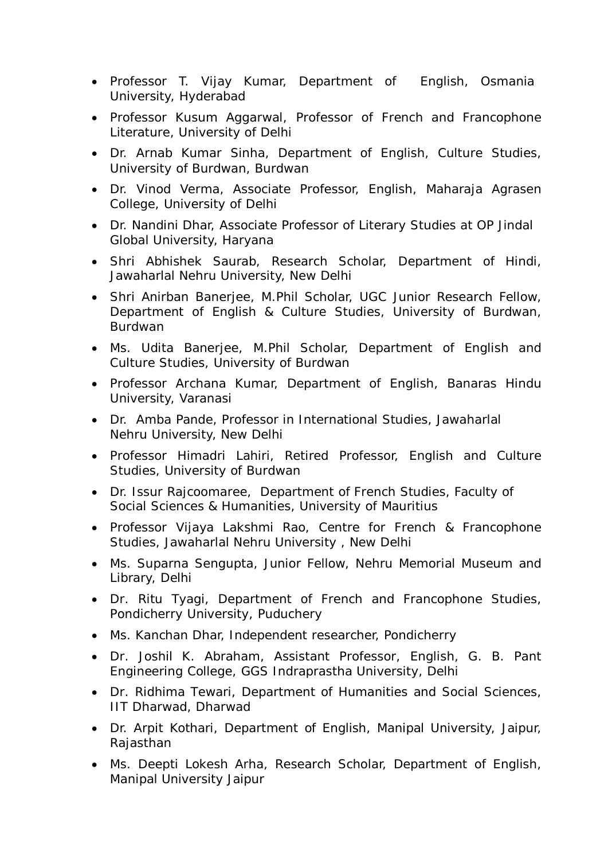- Professor T. Vijay Kumar, Department of English, Osmania University, Hyderabad
- Professor Kusum Aggarwal, Professor of French and Francophone Literature, University of Delhi
- Dr. Arnab Kumar Sinha, Department of English, Culture Studies, University of Burdwan, Burdwan
- Dr. Vinod Verma, Associate Professor, English, Maharaja Agrasen College, University of Delhi
- Dr. Nandini Dhar, Associate Professor of Literary Studies at OP Jindal Global University, Haryana
- Shri Abhishek Saurab, Research Scholar, Department of Hindi, Jawaharlal Nehru University, New Delhi
- Shri Anirban Banerjee, M.Phil Scholar, UGC Junior Research Fellow, Department of English & Culture Studies, University of Burdwan, Burdwan
- Ms. Udita Banerjee, M.Phil Scholar, Department of English and Culture Studies, University of Burdwan
- Professor Archana Kumar, Department of English, Banaras Hindu University, Varanasi
- Dr. Amba Pande, Professor in International Studies, Jawaharlal Nehru University, New Delhi
- Professor Himadri Lahiri, Retired Professor, English and Culture Studies, University of Burdwan
- Dr. Issur Rajcoomaree, Department of French Studies, Faculty of Social Sciences & Humanities, University of Mauritius
- Professor Vijaya Lakshmi Rao, Centre for French & Francophone Studies, Jawaharlal Nehru University , New Delhi
- Ms. Suparna Sengupta, Junior Fellow, Nehru Memorial Museum and Library, Delhi
- Dr. Ritu Tyagi, Department of French and Francophone Studies, Pondicherry University, Puduchery
- Ms. Kanchan Dhar, Independent researcher, Pondicherry
- Dr. Joshil K. Abraham, Assistant Professor, English, G. B. Pant Engineering College, GGS Indraprastha University, Delhi
- Dr. Ridhima Tewari, Department of Humanities and Social Sciences, IIT Dharwad, Dharwad
- Dr. Arpit Kothari, Department of English, Manipal University, Jaipur, Rajasthan
- Ms. Deepti Lokesh Arha, Research Scholar, Department of English, Manipal University Jaipur